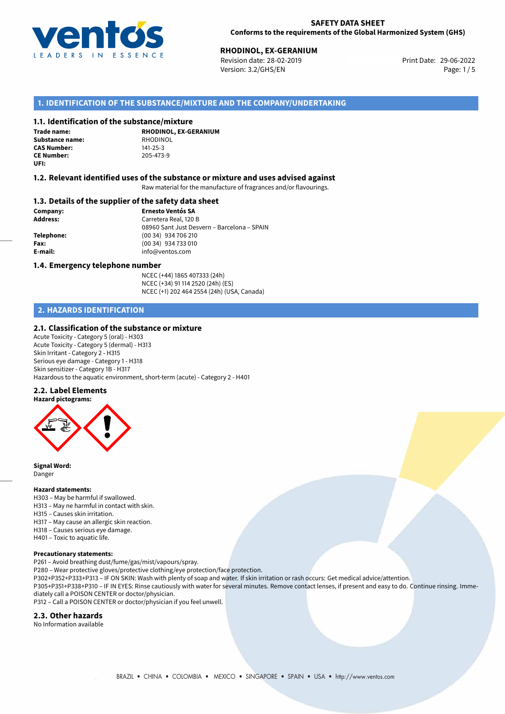

# **RHODINOL, EX-GERANIUM**<br>
Revision date: 28-02-2019<br> **Print Date: 29-06-2022**

Revision date: 28-02-2019 Version: 3.2/GHS/EN Page: 1/5

# **1. IDENTIFICATION OF THE SUBSTANCE/MIXTURE AND THE COMPANY/UNDERTAKING**

# **1.1. Identification of the substance/mixture**

**Trade name: Substance name:** RHODINOL<br> **CAS Number:** 141-25-3 **CAS Number: CE Number:** 205-473-9 **UFI:**

**RHODINOL, EX-GERANIUM**

# **1.2. Relevant identified uses of the substance or mixture and uses advised against**

Raw material for the manufacture of fragrances and/or flavourings.

# **1.3. Details of the supplier of the safety data sheet**

**Company: Ernesto Ventós SA Address:** Carretera Real, 120 B 08960 Sant Just Desvern – Barcelona – SPAIN **Telephone:** (00 34) 934 706 210 **Fax:** (00 34) 934 733 010 **E-mail:** info@ventos.com

#### **1.4. Emergency telephone number**

NCEC (+44) 1865 407333 (24h) NCEC (+34) 91 114 2520 (24h) (ES) NCEC (+1) 202 464 2554 (24h) (USA, Canada)

# **2. HAZARDS IDENTIFICATION**

### **2.1. Classification of the substance or mixture**

Acute Toxicity - Category 5 (oral) - H303 Acute Toxicity - Category 5 (dermal) - H313 Skin Irritant - Category 2 - H315 Serious eye damage - Category 1 - H318 Skin sensitizer - Category 1B - H317 Hazardous to the aquatic environment, short-term (acute) - Category 2 - H401

#### **2.2. Label Elements**



**Signal Word:** Danger

#### **Hazard statements:**

H303 – May be harmful if swallowed. H313 – May ne harmful in contact with skin. H315 – Causes skin irritation. H317 – May cause an allergic skin reaction. H318 – Causes serious eye damage. H401 – Toxic to aquatic life.

#### **Precautionary statements:**

P261 – Avoid breathing dust/fume/gas/mist/vapours/spray.

P280 – Wear protective gloves/protective clothing/eye protection/face protection.

P302+P352+P333+P313 – IF ON SKIN: Wash with plenty of soap and water. If skin irritation or rash occurs: Get medical advice/attention. P305+P351+P338+P310 – IF IN EYES: Rinse cautiously with water for several minutes. Remove contact lenses, if present and easy to do. Continue rinsing. Imme-

diately call a POISON CENTER or doctor/physician. P312 – Call a POISON CENTER or doctor/physician if you feel unwell.

#### **2.3. Other hazards**

No Information available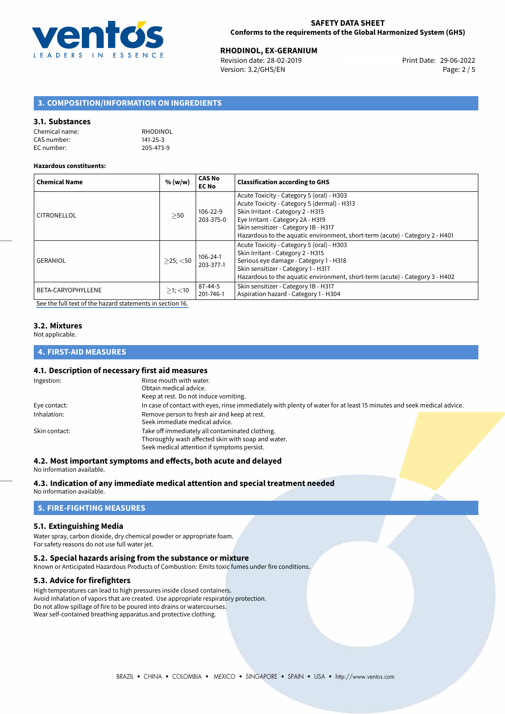

# **RHODINOL, EX-GERANIUM**<br>
Revision date: 28-02-2019<br> **Print Date: 29-06-2022**

Revision date: 28-02-2019 Version: 3.2/GHS/EN Page: 2 / 5

# **3. COMPOSITION/INFORMATION ON INGREDIENTS**

# **3.1. Substances**

| Chemical name: | RHODINOL       |
|----------------|----------------|
| CAS number:    | $141 - 25 - 3$ |
| EC number:     | 205-473-9      |

#### **Hazardous constituents:**

| <b>Chemical Name</b> | % (w/w)        | <b>CAS No</b><br><b>EC No</b> | <b>Classification according to GHS</b>                                                                                                                                                                                                                                                     |
|----------------------|----------------|-------------------------------|--------------------------------------------------------------------------------------------------------------------------------------------------------------------------------------------------------------------------------------------------------------------------------------------|
| CITRONELLOL          | $>$ 50         | 106-22-9<br>203-375-0         | Acute Toxicity - Category 5 (oral) - H303<br>Acute Toxicity - Category 5 (dermal) - H313<br>Skin Irritant - Category 2 - H315<br>Eye Irritant - Category 2A - H319<br>Skin sensitizer - Category 1B - H317<br>Hazardous to the aquatic environment, short-term (acute) - Category 2 - H401 |
| <b>GERANIOL</b>      | $>25$ ; $<$ 50 | $106 - 24 - 1$<br>203-377-1   | Acute Toxicity - Category 5 (oral) - H303<br>Skin Irritant - Category 2 - H315<br>Serious eye damage - Category 1 - H318<br>Skin sensitizer - Category 1 - H317<br>Hazardous to the aquatic environment, short-term (acute) - Category 3 - H402                                            |
| BETA-CARYOPHYLLENE   | $\geq$ 1; <10  | $87 - 44 - 5$<br>201-746-1    | Skin sensitizer - Category 1B - H317<br>Aspiration hazard - Category 1 - H304                                                                                                                                                                                                              |

[See the full text of the hazard statements in section 16.](#page-4-0)

#### **3.2. Mixtures**

Not applicable.

# **4. FIRST-AID MEASURES**

# **4.1. Description of necessary first aid measures**

| In case of contact with eyes, rinse immediately with plenty of water for at least 15 minutes and seek medical advice. |
|-----------------------------------------------------------------------------------------------------------------------|
|                                                                                                                       |
|                                                                                                                       |
|                                                                                                                       |
|                                                                                                                       |
|                                                                                                                       |
|                                                                                                                       |

### **4.2. Most important symptoms and effects, both acute and delayed**

No information available.

#### **4.3. Indication of any immediate medical attention and special treatment needed**

No information available.

# **5. FIRE-FIGHTING MEASURES**

### **5.1. Extinguishing Media**

Water spray, carbon dioxide, dry chemical powder or appropriate foam. For safety reasons do not use full water jet.

#### **5.2. Special hazards arising from the substance or mixture**

Known or Anticipated Hazardous Products of Combustion: Emits toxic fumes under fire conditions.

# **5.3. Advice for firefighters**

High temperatures can lead to high pressures inside closed containers. Avoid inhalation of vapors that are created. Use appropriate respiratory protection. Do not allow spillage of fire to be poured into drains or watercourses. Wear self-contained breathing apparatus and protective clothing.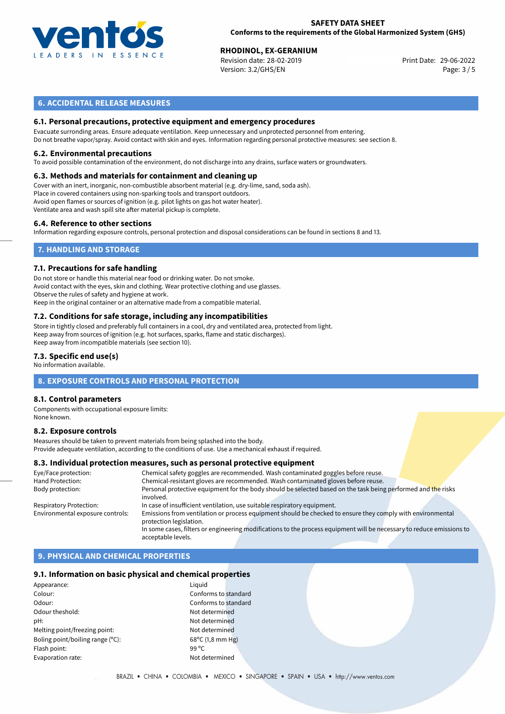

# **SAFETY DATA SHEET Conforms to the requirements of the Global Harmonized System (GHS)**

# **RHODINOL, EX-GERANIUM**<br>
Revision date: 28-02-2019<br> **Print Date: 29-06-2022**

Revision date: 28-02-2019 Version: 3.2/GHS/EN Page: 3 / 5

# **6. ACCIDENTAL RELEASE MEASURES**

# **6.1. Personal precautions, protective equipment and emergency procedures**

Evacuate surronding areas. Ensure adequate ventilation. Keep unnecessary and unprotected personnel from entering. Do not breathe vapor/spray. Avoid contact with skin and eyes. Information regarding personal protective measures: see section 8.

#### **6.2. Environmental precautions**

To avoid possible contamination of the environment, do not discharge into any drains, surface waters or groundwaters.

### **6.3. Methods and materials for containment and cleaning up**

Cover with an inert, inorganic, non-combustible absorbent material (e.g. dry-lime, sand, soda ash). Place in covered containers using non-sparking tools and transport outdoors. Avoid open flames or sources of ignition (e.g. pilot lights on gas hot water heater). Ventilate area and wash spill site after material pickup is complete.

#### **6.4. Reference to other sections**

Information regarding exposure controls, personal protection and disposal considerations can be found in sections 8 and 13.

# **7. HANDLING AND STORAGE**

#### **7.1. Precautions for safe handling**

Do not store or handle this material near food or drinking water. Do not smoke. Avoid contact with the eyes, skin and clothing. Wear protective clothing and use glasses. Observe the rules of safety and hygiene at work. Keep in the original container or an alternative made from a compatible material.

# **7.2. Conditions for safe storage, including any incompatibilities**

Store in tightly closed and preferably full containers in a cool, dry and ventilated area, protected from light. Keep away from sources of ignition (e.g. hot surfaces, sparks, flame and static discharges). Keep away from incompatible materials (see section 10).

### **7.3. Specific end use(s)**

No information available.

# **8. EXPOSURE CONTROLS AND PERSONAL PROTECTION**

#### **8.1. Control parameters**

Components with occupational exposure limits: None known.

#### **8.2. Exposure controls**

Measures should be taken to prevent materials from being splashed into the body. Provide adequate ventilation, according to the conditions of use. Use a mechanical exhaust if required.

#### **8.3. Individual protection measures, such as personal protective equipment**

| Chemical safety goggles are recommended. Wash contaminated goggles before reuse.                                                      |
|---------------------------------------------------------------------------------------------------------------------------------------|
| Chemical-resistant gloves are recommended. Wash contaminated gloves before reuse.                                                     |
| Personal protective equipment for the body should be selected based on the task being performed and the risks<br>involved.            |
| In case of insufficient ventilation, use suitable respiratory equipment.                                                              |
| Emissions from ventilation or process equipment should be checked to ensure they comply with environmental<br>protection legislation. |
| In some cases, filters or engineering modifications to the process equipment will be necessary to reduce emissions to                 |
| acceptable levels.                                                                                                                    |
|                                                                                                                                       |

# **9. PHYSICAL AND CHEMICAL PROPERTIES**

#### **9.1. Information on basic physical and chemical properties**

| Appearance:                      | Liguid             |
|----------------------------------|--------------------|
| Colour:                          | Confo              |
| Odour:                           | Confo              |
| Odour theshold:                  | Not de             |
| pH:                              | Not de             |
| Melting point/freezing point:    | Not de             |
| Boling point/boiling range (°C): | $68^{\circ}$ C $($ |
| Flash point:                     | 99 °C              |
| Evaporation rate:                | Not de             |
|                                  |                    |

Conforms to standard Conforms to standard Not determined Not determined Not determined  $68^{\circ}$ C (1,8 mm Hg) Not determined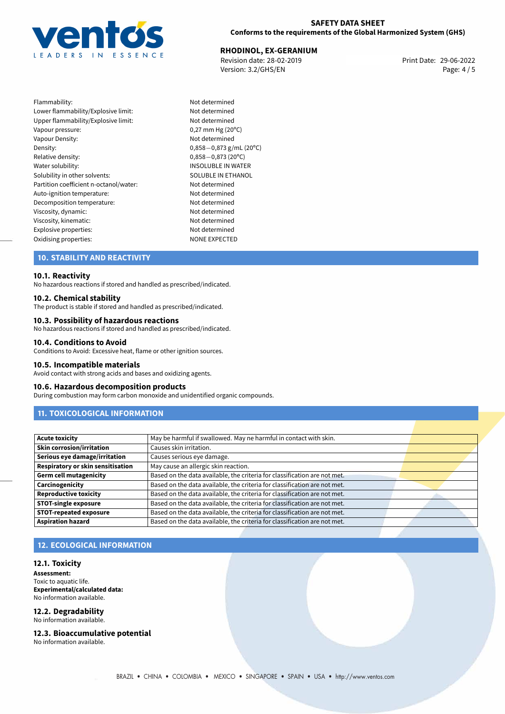

# **SAFETY DATA SHEET Conforms to the requirements of the Global Harmonized System (GHS)**

# **RHODINOL, EX-GERANIUM**<br> **29-06-2022 Revision date: 28-02-2019**

Revision date: 28-02-2019 Version: 3.2/GHS/EN Page: 4 / 5

Flammability: Not determined Lower flammability/Explosive limit: Not determined Upper flammability/Explosive limit: Not determined Vapour pressure: 0,27 mm Hg (20°C) Vapour Density: Not determined Density: 0,858−0,873 g/mL (20<sup>o</sup>C)<br>Relative density: 0,858−0,873 (20<sup>o</sup>C) Relative density: 0,858*−*0,873 (20ºC) Solubility in other solvents: SOLUBLE IN ETHANOL Partition coefficient n-octanol/water: Not determined Auto-ignition temperature: Not determined Decomposition temperature: Not determined Viscosity, dynamic: Not determined Viscosity, kinematic: Not determined Explosive properties:<br>
Oxidising properties:<br>
NONE EXPECTED Oxidising properties:

INSOLUBLE IN WATER

# **10. STABILITY AND REACTIVITY**

# **10.1. Reactivity**

No hazardous reactions if stored and handled as prescribed/indicated.

#### **10.2. Chemical stability**

The product is stable if stored and handled as prescribed/indicated.

# **10.3. Possibility of hazardous reactions**

No hazardous reactions if stored and handled as prescribed/indicated.

### **10.4. Conditions to Avoid**

Conditions to Avoid: Excessive heat, flame or other ignition sources.

#### **10.5. Incompatible materials**

Avoid contact with strong acids and bases and oxidizing agents.

#### **10.6. Hazardous decomposition products**

During combustion may form carbon monoxide and unidentified organic compounds.

# **11. TOXICOLOGICAL INFORMATION**

| <b>Acute toxicity</b>                    | May be harmful if swallowed. May ne harmful in contact with skin.         |  |
|------------------------------------------|---------------------------------------------------------------------------|--|
| <b>Skin corrosion/irritation</b>         | Causes skin irritation.                                                   |  |
| Serious eye damage/irritation            | Causes serious eye damage.                                                |  |
| <b>Respiratory or skin sensitisation</b> | May cause an allergic skin reaction.                                      |  |
| <b>Germ cell mutagenicity</b>            | Based on the data available, the criteria for classification are not met. |  |
| Carcinogenicity                          | Based on the data available, the criteria for classification are not met. |  |
| <b>Reproductive toxicity</b>             | Based on the data available, the criteria for classification are not met. |  |
| <b>STOT-single exposure</b>              | Based on the data available, the criteria for classification are not met. |  |
| <b>STOT-repeated exposure</b>            | Based on the data available, the criteria for classification are not met. |  |
| <b>Aspiration hazard</b>                 | Based on the data available, the criteria for classification are not met. |  |

# **12. ECOLOGICAL INFORMATION**

#### **12.1. Toxicity**

**Assessment:** Toxic to aquatic life. **Experimental/calculated data:** No information available.

#### **12.2. Degradability** No information available.

**12.3. Bioaccumulative potential**

No information available.